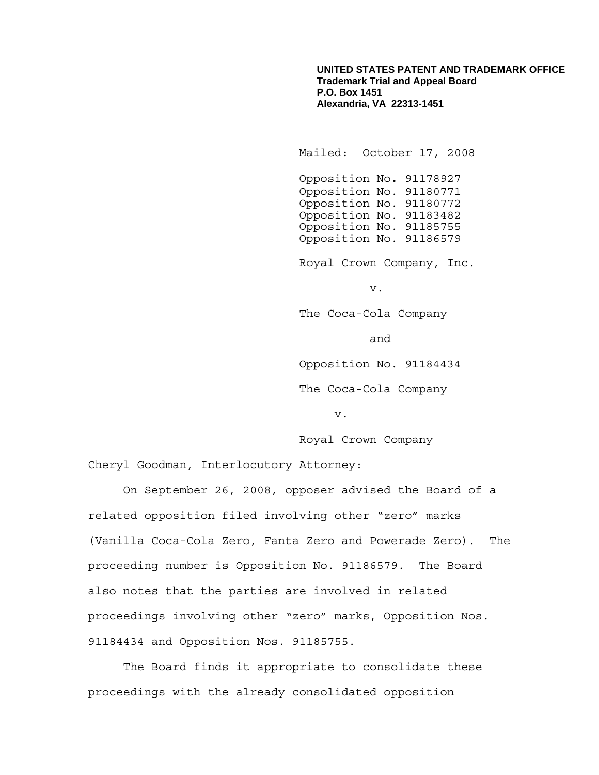**UNITED STATES PATENT AND TRADEMARK OFFICE Trademark Trial and Appeal Board P.O. Box 1451 Alexandria, VA 22313-1451**

Mailed: October 17, 2008

 Opposition No**.** 91178927 Opposition No. 91180771 Opposition No. 91180772 Opposition No. 91183482 Opposition No. 91185755 Opposition No. 91186579

Royal Crown Company, Inc.

v.

The Coca-Cola Company

and

Opposition No. 91184434

The Coca-Cola Company

v.

Royal Crown Company

Cheryl Goodman, Interlocutory Attorney:

 On September 26, 2008, opposer advised the Board of a related opposition filed involving other "zero" marks (Vanilla Coca-Cola Zero, Fanta Zero and Powerade Zero). The proceeding number is Opposition No. 91186579. The Board also notes that the parties are involved in related proceedings involving other "zero" marks, Opposition Nos. 91184434 and Opposition Nos. 91185755.

 The Board finds it appropriate to consolidate these proceedings with the already consolidated opposition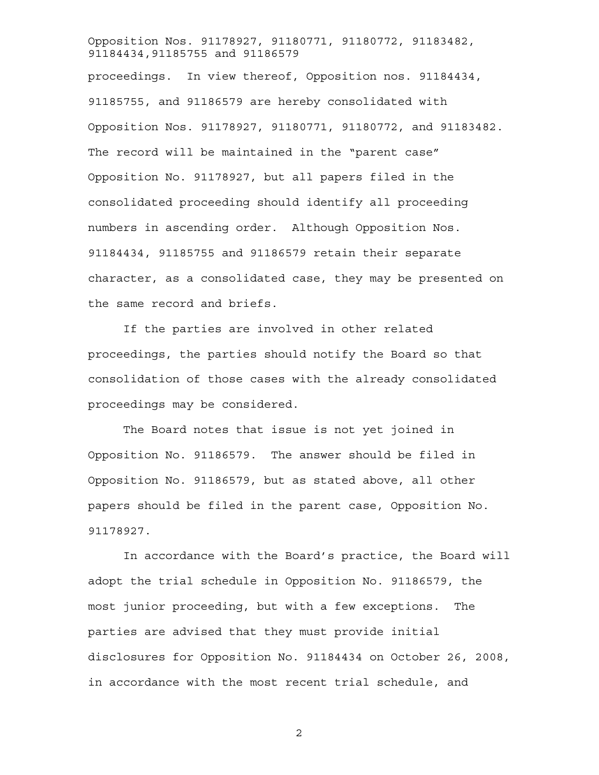## Opposition Nos. 91178927, 91180771, 91180772, 91183482, 91184434,91185755 and 91186579

proceedings. In view thereof, Opposition nos. 91184434, 91185755, and 91186579 are hereby consolidated with Opposition Nos. 91178927, 91180771, 91180772, and 91183482. The record will be maintained in the "parent case" Opposition No. 91178927, but all papers filed in the consolidated proceeding should identify all proceeding numbers in ascending order. Although Opposition Nos. 91184434, 91185755 and 91186579 retain their separate character, as a consolidated case, they may be presented on the same record and briefs.

If the parties are involved in other related proceedings, the parties should notify the Board so that consolidation of those cases with the already consolidated proceedings may be considered.

The Board notes that issue is not yet joined in Opposition No. 91186579. The answer should be filed in Opposition No. 91186579, but as stated above, all other papers should be filed in the parent case, Opposition No. 91178927.

In accordance with the Board's practice, the Board will adopt the trial schedule in Opposition No. 91186579, the most junior proceeding, but with a few exceptions. The parties are advised that they must provide initial disclosures for Opposition No. 91184434 on October 26, 2008, in accordance with the most recent trial schedule, and

2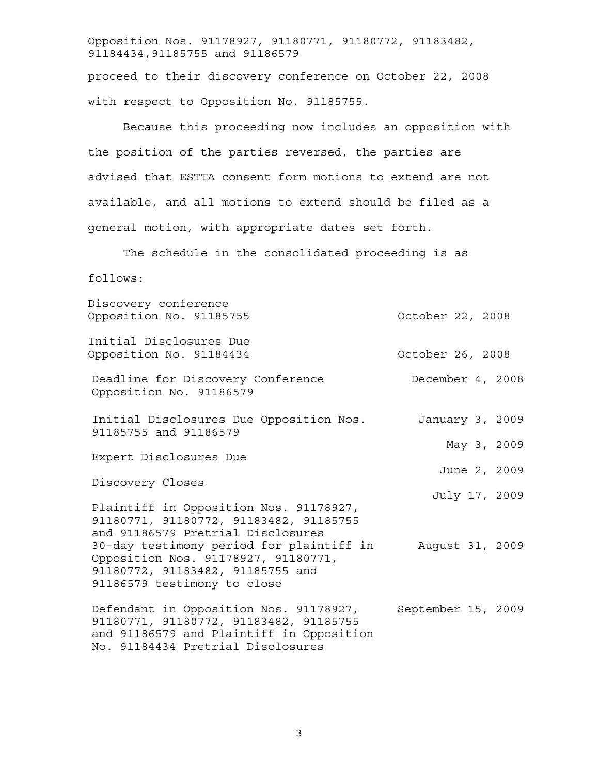Opposition Nos. 91178927, 91180771, 91180772, 91183482, 91184434,91185755 and 91186579

proceed to their discovery conference on October 22, 2008 with respect to Opposition No. 91185755.

Because this proceeding now includes an opposition with the position of the parties reversed, the parties are advised that ESTTA consent form motions to extend are not available, and all motions to extend should be filed as a general motion, with appropriate dates set forth.

The schedule in the consolidated proceeding is as

follows:

| Discovery conference<br>Opposition No. 91185755                                                                                                                                                                                                                             | October 22, 2008   |
|-----------------------------------------------------------------------------------------------------------------------------------------------------------------------------------------------------------------------------------------------------------------------------|--------------------|
| Initial Disclosures Due<br>Opposition No. 91184434                                                                                                                                                                                                                          | October 26, 2008   |
| Deadline for Discovery Conference<br>Opposition No. 91186579                                                                                                                                                                                                                | December 4, 2008   |
| Initial Disclosures Due Opposition Nos.<br>91185755 and 91186579                                                                                                                                                                                                            | January 3, 2009    |
|                                                                                                                                                                                                                                                                             | May 3, 2009        |
| Expert Disclosures Due                                                                                                                                                                                                                                                      | June 2, 2009       |
| Discovery Closes                                                                                                                                                                                                                                                            | July 17, 2009      |
| Plaintiff in Opposition Nos. 91178927,<br>91180771, 91180772, 91183482, 91185755<br>and 91186579 Pretrial Disclosures<br>30-day testimony period for plaintiff in<br>Opposition Nos. 91178927, 91180771,<br>91180772, 91183482, 91185755 and<br>91186579 testimony to close | August 31, 2009    |
| Defendant in Opposition Nos. 91178927,<br>91180771, 91180772, 91183482, 91185755<br>and 91186579 and Plaintiff in Opposition<br>No. 91184434 Pretrial Disclosures                                                                                                           | September 15, 2009 |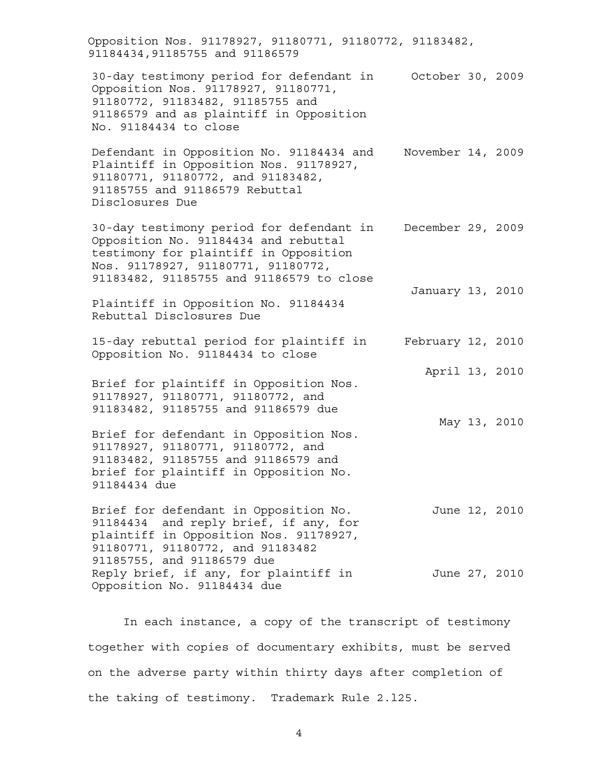Opposition Nos. 91178927, 91180771, 91180772, 91183482, 91184434,91185755 and 91186579 30-day testimony period for defendant in October 30, 2009 Opposition Nos. 91178927, 91180771, 91180772, 91183482, 91185755 and 91186579 and as plaintiff in Opposition No. 91184434 to close Defendant in Opposition No. 91184434 and November 14, 2009 Plaintiff in Opposition Nos. 91178927, 91180771, 91180772, and 91183482, 91185755 and 91186579 Rebuttal Disclosures Due 30-day testimony period for defendant in December 29, 2009 Opposition No. 91184434 and rebuttal testimony for plaintiff in Opposition Nos. 91178927, 91180771, 91180772, 91183482, 91185755 and 91186579 to close Plaintiff in Opposition No. 91184434 Rebuttal Disclosures Due January 13, 2010 15-day rebuttal period for plaintiff in February 12, 2010 Opposition No. 91184434 to close Brief for plaintiff in Opposition Nos. 91178927, 91180771, 91180772, and 91183482, 91185755 and 91186579 due April 13, 2010 Brief for defendant in Opposition Nos. 91178927, 91180771, 91180772, and 91183482, 91185755 and 91186579 and brief for plaintiff in Opposition No. 91184434 due May 13, 2010 Brief for defendant in Opposition No. 91184434 and reply brief, if any, for plaintiff in Opposition Nos. 91178927, 91180771, 91180772, and 91183482 91185755, and 91186579 due June 12, 2010 Reply brief, if any, for plaintiff in June 27, 2010 Opposition No. 91184434 due

In each instance, a copy of the transcript of testimony together with copies of documentary exhibits, must be served on the adverse party within thirty days after completion of the taking of testimony. Trademark Rule 2.l25.

4